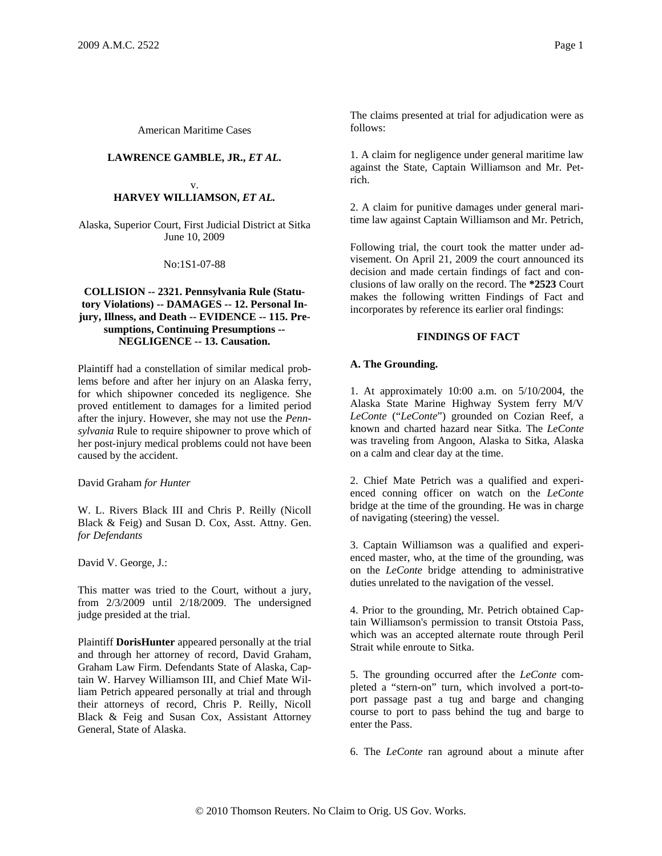American Maritime Cases

# **LAWRENCE GAMBLE, JR.,** *ET AL.*

#### v. **HARVEY WILLIAMSON,** *ET AL.*

Alaska, Superior Court, First Judicial District at Sitka June 10, 2009

No:1S1-07-88

# **COLLISION -- 2321. Pennsylvania Rule (Statutory Violations) -- DAMAGES -- 12. Personal Injury, Illness, and Death -- EVIDENCE -- 115. Presumptions, Continuing Presumptions -- NEGLIGENCE -- 13. Causation.**

Plaintiff had a constellation of similar medical problems before and after her injury on an Alaska ferry, for which shipowner conceded its negligence. She proved entitlement to damages for a limited period after the injury. However, she may not use the *Pennsylvania* Rule to require shipowner to prove which of her post-injury medical problems could not have been caused by the accident.

# David Graham *for Hunter*

W. L. Rivers Black III and Chris P. Reilly (Nicoll Black & Feig) and Susan D. Cox, Asst. Attny. Gen. *for Defendants*

David V. George, J.:

This matter was tried to the Court, without a jury, from 2/3/2009 until 2/18/2009. The undersigned judge presided at the trial.

Plaintiff **DorisHunter** appeared personally at the trial and through her attorney of record, David Graham, Graham Law Firm. Defendants State of Alaska, Captain W. Harvey Williamson III, and Chief Mate William Petrich appeared personally at trial and through their attorneys of record, Chris P. Reilly, Nicoll Black & Feig and Susan Cox, Assistant Attorney General, State of Alaska.

The claims presented at trial for adjudication were as follows:

1. A claim for negligence under general maritime law against the State, Captain Williamson and Mr. Petrich.

2. A claim for punitive damages under general maritime law against Captain Williamson and Mr. Petrich,

Following trial, the court took the matter under advisement. On April 21, 2009 the court announced its decision and made certain findings of fact and conclusions of law orally on the record. The **\*2523** Court makes the following written Findings of Fact and incorporates by reference its earlier oral findings:

# **FINDINGS OF FACT**

# **A. The Grounding.**

1. At approximately 10:00 a.m. on 5/10/2004, the Alaska State Marine Highway System ferry M/V *LeConte* ("*LeConte*") grounded on Cozian Reef, a known and charted hazard near Sitka. The *LeConte* was traveling from Angoon, Alaska to Sitka, Alaska on a calm and clear day at the time.

2. Chief Mate Petrich was a qualified and experienced conning officer on watch on the *LeConte* bridge at the time of the grounding. He was in charge of navigating (steering) the vessel.

3. Captain Williamson was a qualified and experienced master, who, at the time of the grounding, was on the *LeConte* bridge attending to administrative duties unrelated to the navigation of the vessel.

4. Prior to the grounding, Mr. Petrich obtained Captain Williamson's permission to transit Otstoia Pass, which was an accepted alternate route through Peril Strait while enroute to Sitka.

5. The grounding occurred after the *LeConte* completed a "stern-on" turn, which involved a port-toport passage past a tug and barge and changing course to port to pass behind the tug and barge to enter the Pass.

6. The *LeConte* ran aground about a minute after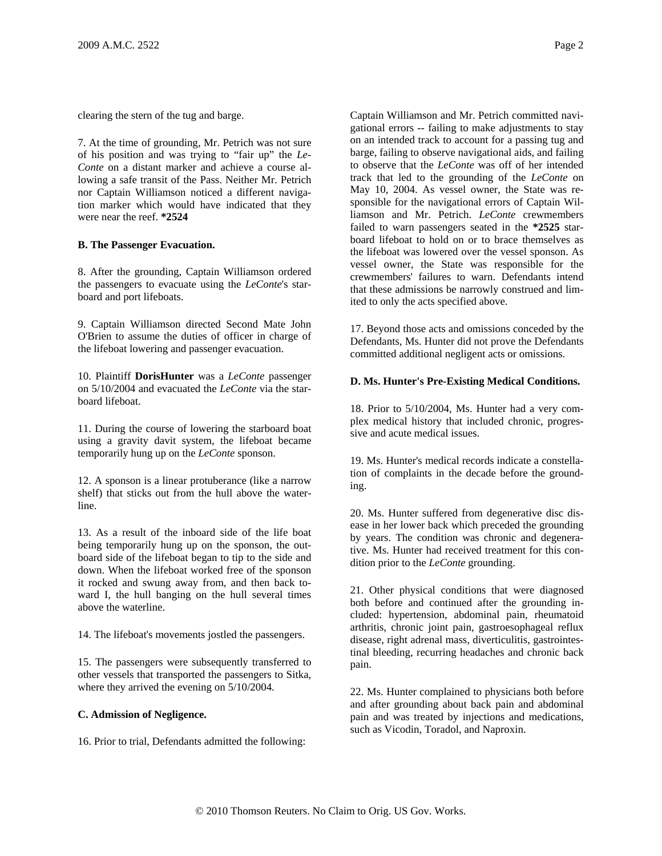clearing the stern of the tug and barge.

7. At the time of grounding, Mr. Petrich was not sure of his position and was trying to "fair up" the *Le-Conte* on a distant marker and achieve a course allowing a safe transit of the Pass. Neither Mr. Petrich nor Captain Williamson noticed a different navigation marker which would have indicated that they were near the reef. **\*2524**

### **B. The Passenger Evacuation.**

8. After the grounding, Captain Williamson ordered the passengers to evacuate using the *LeConte*'s starboard and port lifeboats.

9. Captain Williamson directed Second Mate John O'Brien to assume the duties of officer in charge of the lifeboat lowering and passenger evacuation.

10. Plaintiff **DorisHunter** was a *LeConte* passenger on 5/10/2004 and evacuated the *LeConte* via the starboard lifeboat.

11. During the course of lowering the starboard boat using a gravity davit system, the lifeboat became temporarily hung up on the *LeConte* sponson.

12. A sponson is a linear protuberance (like a narrow shelf) that sticks out from the hull above the waterline.

13. As a result of the inboard side of the life boat being temporarily hung up on the sponson, the outboard side of the lifeboat began to tip to the side and down. When the lifeboat worked free of the sponson it rocked and swung away from, and then back toward I, the hull banging on the hull several times above the waterline.

14. The lifeboat's movements jostled the passengers.

15. The passengers were subsequently transferred to other vessels that transported the passengers to Sitka, where they arrived the evening on 5/10/2004.

### **C. Admission of Negligence.**

16. Prior to trial, Defendants admitted the following:

Captain Williamson and Mr. Petrich committed navigational errors -- failing to make adjustments to stay on an intended track to account for a passing tug and barge, failing to observe navigational aids, and failing to observe that the *LeConte* was off of her intended track that led to the grounding of the *LeConte* on May 10, 2004. As vessel owner, the State was responsible for the navigational errors of Captain Williamson and Mr. Petrich. *LeConte* crewmembers failed to warn passengers seated in the **\*2525** starboard lifeboat to hold on or to brace themselves as the lifeboat was lowered over the vessel sponson. As vessel owner, the State was responsible for the crewmembers' failures to warn. Defendants intend that these admissions be narrowly construed and limited to only the acts specified above.

17. Beyond those acts and omissions conceded by the Defendants, Ms. Hunter did not prove the Defendants committed additional negligent acts or omissions.

### **D. Ms. Hunter's Pre-Existing Medical Conditions.**

18. Prior to 5/10/2004, Ms. Hunter had a very complex medical history that included chronic, progressive and acute medical issues.

19. Ms. Hunter's medical records indicate a constellation of complaints in the decade before the grounding.

20. Ms. Hunter suffered from degenerative disc disease in her lower back which preceded the grounding by years. The condition was chronic and degenerative. Ms. Hunter had received treatment for this condition prior to the *LeConte* grounding.

21. Other physical conditions that were diagnosed both before and continued after the grounding included: hypertension, abdominal pain, rheumatoid arthritis, chronic joint pain, gastroesophageal reflux disease, right adrenal mass, diverticulitis, gastrointestinal bleeding, recurring headaches and chronic back pain.

22. Ms. Hunter complained to physicians both before and after grounding about back pain and abdominal pain and was treated by injections and medications, such as Vicodin, Toradol, and Naproxin.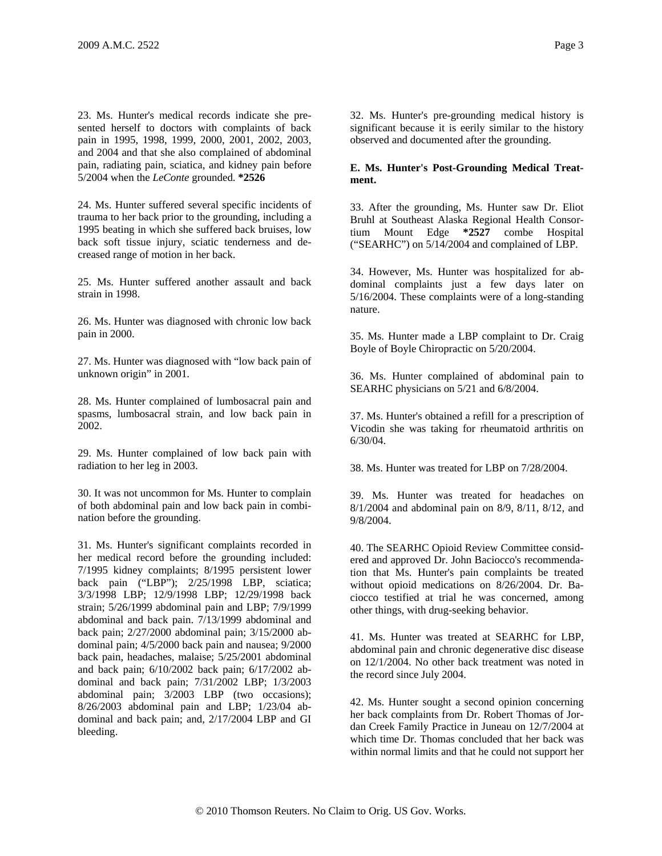23. Ms. Hunter's medical records indicate she presented herself to doctors with complaints of back pain in 1995, 1998, 1999, 2000, 2001, 2002, 2003, and 2004 and that she also complained of abdominal pain, radiating pain, sciatica, and kidney pain before 5/2004 when the *LeConte* grounded. **\*2526**

24. Ms. Hunter suffered several specific incidents of trauma to her back prior to the grounding, including a 1995 beating in which she suffered back bruises, low back soft tissue injury, sciatic tenderness and decreased range of motion in her back.

25. Ms. Hunter suffered another assault and back strain in 1998.

26. Ms. Hunter was diagnosed with chronic low back pain in 2000.

27. Ms. Hunter was diagnosed with "low back pain of unknown origin" in 2001.

28. Ms. Hunter complained of lumbosacral pain and spasms, lumbosacral strain, and low back pain in 2002.

29. Ms. Hunter complained of low back pain with radiation to her leg in 2003.

30. It was not uncommon for Ms. Hunter to complain of both abdominal pain and low back pain in combination before the grounding.

31. Ms. Hunter's significant complaints recorded in her medical record before the grounding included: 7/1995 kidney complaints; 8/1995 persistent lower back pain ("LBP"); 2/25/1998 LBP, sciatica; 3/3/1998 LBP; 12/9/1998 LBP; 12/29/1998 back strain; 5/26/1999 abdominal pain and LBP; 7/9/1999 abdominal and back pain. 7/13/1999 abdominal and back pain; 2/27/2000 abdominal pain; 3/15/2000 abdominal pain; 4/5/2000 back pain and nausea; 9/2000 back pain, headaches, malaise; 5/25/2001 abdominal and back pain; 6/10/2002 back pain; 6/17/2002 abdominal and back pain; 7/31/2002 LBP; 1/3/2003 abdominal pain; 3/2003 LBP (two occasions); 8/26/2003 abdominal pain and LBP; 1/23/04 abdominal and back pain; and, 2/17/2004 LBP and GI bleeding.

32. Ms. Hunter's pre-grounding medical history is significant because it is eerily similar to the history observed and documented after the grounding.

### **E. Ms. Hunter's Post-Grounding Medical Treatment.**

33. After the grounding, Ms. Hunter saw Dr. Eliot Bruhl at Southeast Alaska Regional Health Consortium Mount Edge **\*2527** combe Hospital ("SEARHC") on 5/14/2004 and complained of LBP.

34. However, Ms. Hunter was hospitalized for abdominal complaints just a few days later on 5/16/2004. These complaints were of a long-standing nature.

35. Ms. Hunter made a LBP complaint to Dr. Craig Boyle of Boyle Chiropractic on 5/20/2004.

36. Ms. Hunter complained of abdominal pain to SEARHC physicians on 5/21 and 6/8/2004.

37. Ms. Hunter's obtained a refill for a prescription of Vicodin she was taking for rheumatoid arthritis on 6/30/04.

38. Ms. Hunter was treated for LBP on 7/28/2004.

39. Ms. Hunter was treated for headaches on 8/1/2004 and abdominal pain on 8/9, 8/11, 8/12, and 9/8/2004.

40. The SEARHC Opioid Review Committee considered and approved Dr. John Baciocco's recommendation that Ms. Hunter's pain complaints be treated without opioid medications on 8/26/2004. Dr. Baciocco testified at trial he was concerned, among other things, with drug-seeking behavior.

41. Ms. Hunter was treated at SEARHC for LBP, abdominal pain and chronic degenerative disc disease on 12/1/2004. No other back treatment was noted in the record since July 2004.

42. Ms. Hunter sought a second opinion concerning her back complaints from Dr. Robert Thomas of Jordan Creek Family Practice in Juneau on 12/7/2004 at which time Dr. Thomas concluded that her back was within normal limits and that he could not support her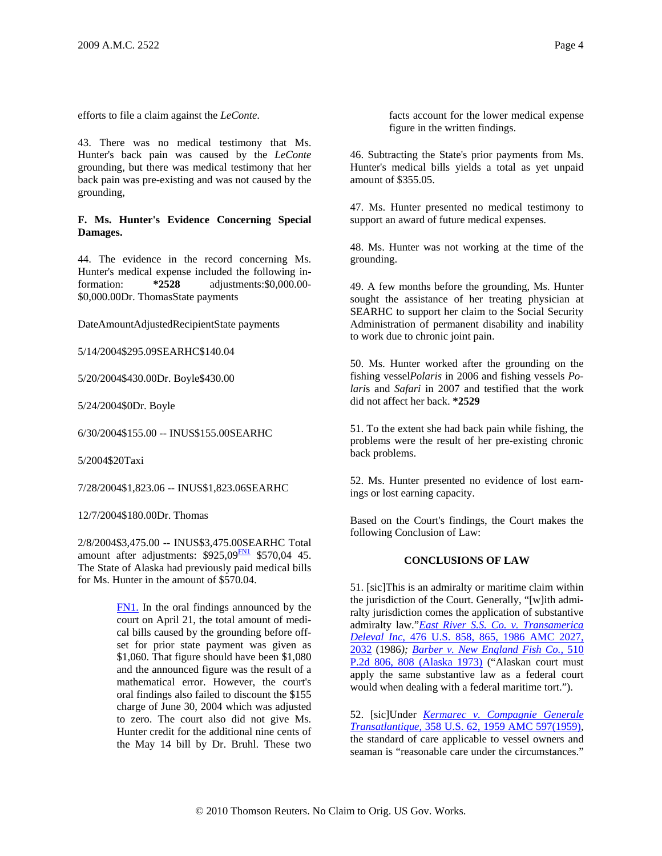efforts to file a claim against the *LeConte*.

43. There was no medical testimony that Ms. Hunter's back pain was caused by the *LeConte* grounding, but there was medical testimony that her back pain was pre-existing and was not caused by the grounding,

### **F. Ms. Hunter's Evidence Concerning Special Damages.**

44. The evidence in the record concerning Ms. Hunter's medical expense included the following information: **\*2528** adjustments:\$0,000.00- \$0,000.00Dr. ThomasState payments

DateAmountAdjustedRecipientState payments

5/14/2004\$295.09SEARHC\$140.04

5/20/2004\$430.00Dr. Boyle\$430.00

5/24/2004\$0Dr. Boyle

6/30/2004\$155.00 -- INUS\$155.00SEARHC

5/2004\$20Taxi

7/28/2004\$1,823.06 -- INUS\$1,823.06SEARHC

12/7/2004\$180.00Dr. Thomas

2/8/2004\$3,475.00 -- INUS\$3,475.00SEARHC Total amount after adjustments:  $$925,09$ <sup>EN1</sup> \$570,04 45. The State of Alaska had previously paid medical bills for Ms. Hunter in the amount of \$570.04.

> FN1. In the oral findings announced by the court on April 21, the total amount of medical bills caused by the grounding before offset for prior state payment was given as \$1,060. That figure should have been \$1,080 and the announced figure was the result of a mathematical error. However, the court's oral findings also failed to discount the \$155 charge of June 30, 2004 which was adjusted to zero. The court also did not give Ms. Hunter credit for the additional nine cents of the May 14 bill by Dr. Bruhl. These two

facts account for the lower medical expense figure in the written findings.

46. Subtracting the State's prior payments from Ms. Hunter's medical bills yields a total as yet unpaid amount of \$355.05.

47. Ms. Hunter presented no medical testimony to support an award of future medical expenses.

48. Ms. Hunter was not working at the time of the grounding.

49. A few months before the grounding, Ms. Hunter sought the assistance of her treating physician at SEARHC to support her claim to the Social Security Administration of permanent disability and inability to work due to chronic joint pain.

50. Ms. Hunter worked after the grounding on the fishing vessel*Polaris* in 2006 and fishing vessels *Polari*s and *Safari* in 2007 and testified that the work did not affect her back. **\*2529**

51. To the extent she had back pain while fishing, the problems were the result of her pre-existing chronic back problems.

52. Ms. Hunter presented no evidence of lost earnings or lost earning capacity.

Based on the Court's findings, the Court makes the following Conclusion of Law:

### **CONCLUSIONS OF LAW**

51. [sic]This is an admiralty or maritime claim within the jurisdiction of the Court. Generally, "[w]ith admiralty jurisdiction comes the application of substantive admiralty law."*East River S.S. Co. v. Transamerica Deleval Inc*, 476 U.S. 858, 865, 1986 AMC 2027, 2032 (1986*); Barber v. New England Fish Co.*, 510 P.2d 806, 808 (Alaska 1973) ("Alaskan court must apply the same substantive law as a federal court would when dealing with a federal maritime tort.").

52. [sic]Under *Kermarec v. Compagnie Generale Transatlantique*, 358 U.S. 62, 1959 AMC 597(1959), the standard of care applicable to vessel owners and seaman is "reasonable care under the circumstances."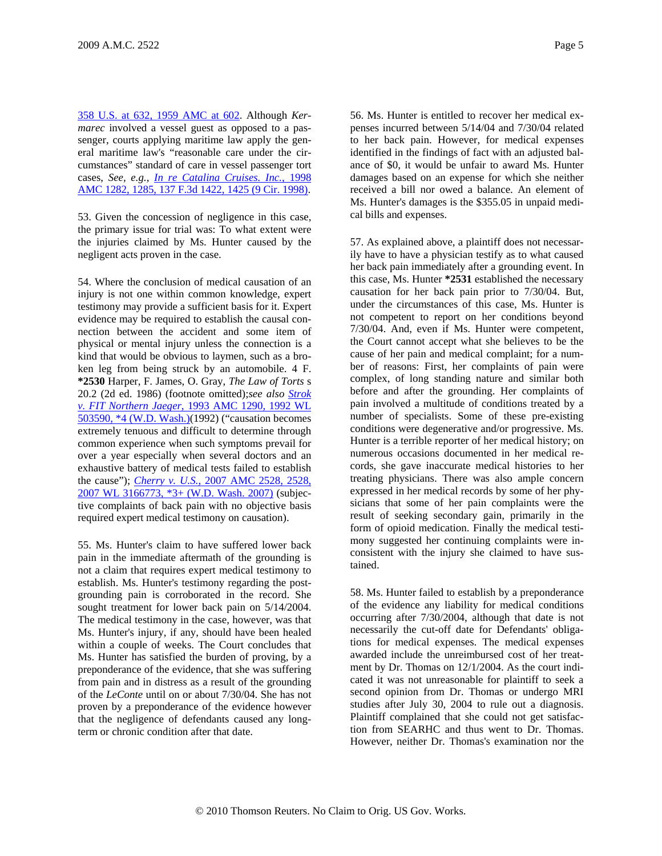358 U.S. at 632, 1959 AMC at 602. Although *Kermarec* involved a vessel guest as opposed to a passenger, courts applying maritime law apply the general maritime law's "reasonable care under the circumstances" standard of care in vessel passenger tort cases, *See, e.g., In re Catalina Cruises. Inc.*, 1998 AMC 1282, 1285, 137 F.3d 1422, 1425 (9 Cir. 1998).

53. Given the concession of negligence in this case, the primary issue for trial was: To what extent were the injuries claimed by Ms. Hunter caused by the negligent acts proven in the case.

54. Where the conclusion of medical causation of an injury is not one within common knowledge, expert testimony may provide a sufficient basis for it. Expert evidence may be required to establish the causal connection between the accident and some item of physical or mental injury unless the connection is a kind that would be obvious to laymen, such as a broken leg from being struck by an automobile. 4 F. **\*2530** Harper, F. James, O. Gray, *The Law of Torts* s 20.2 (2d ed. 1986) (footnote omitted);*see also Strok v. FIT Northern Jaeger*, 1993 AMC 1290, 1992 WL 503590, \*4 (W.D. Wash.)(1992) ("causation becomes extremely tenuous and difficult to determine through common experience when such symptoms prevail for over a year especially when several doctors and an exhaustive battery of medical tests failed to establish the cause"); *Cherry v. U.S.*, 2007 AMC 2528, 2528, 2007 WL 3166773, \*3+ (W.D. Wash. 2007) (subjective complaints of back pain with no objective basis required expert medical testimony on causation).

55. Ms. Hunter's claim to have suffered lower back pain in the immediate aftermath of the grounding is not a claim that requires expert medical testimony to establish. Ms. Hunter's testimony regarding the postgrounding pain is corroborated in the record. She sought treatment for lower back pain on 5/14/2004. The medical testimony in the case, however, was that Ms. Hunter's injury, if any, should have been healed within a couple of weeks. The Court concludes that Ms. Hunter has satisfied the burden of proving, by a preponderance of the evidence, that she was suffering from pain and in distress as a result of the grounding of the *LeConte* until on or about 7/30/04. She has not proven by a preponderance of the evidence however that the negligence of defendants caused any longterm or chronic condition after that date.

56. Ms. Hunter is entitled to recover her medical expenses incurred between 5/14/04 and 7/30/04 related to her back pain. However, for medical expenses identified in the findings of fact with an adjusted balance of \$0, it would be unfair to award Ms. Hunter damages based on an expense for which she neither received a bill nor owed a balance. An element of Ms. Hunter's damages is the \$355.05 in unpaid medical bills and expenses.

57. As explained above, a plaintiff does not necessarily have to have a physician testify as to what caused her back pain immediately after a grounding event. In this case, Ms. Hunter **\*2531** established the necessary causation for her back pain prior to 7/30/04. But, under the circumstances of this case, Ms. Hunter is not competent to report on her conditions beyond 7/30/04. And, even if Ms. Hunter were competent, the Court cannot accept what she believes to be the cause of her pain and medical complaint; for a number of reasons: First, her complaints of pain were complex, of long standing nature and similar both before and after the grounding. Her complaints of pain involved a multitude of conditions treated by a number of specialists. Some of these pre-existing conditions were degenerative and/or progressive. Ms. Hunter is a terrible reporter of her medical history; on numerous occasions documented in her medical records, she gave inaccurate medical histories to her treating physicians. There was also ample concern expressed in her medical records by some of her physicians that some of her pain complaints were the result of seeking secondary gain, primarily in the form of opioid medication. Finally the medical testimony suggested her continuing complaints were inconsistent with the injury she claimed to have sustained.

58. Ms. Hunter failed to establish by a preponderance of the evidence any liability for medical conditions occurring after 7/30/2004, although that date is not necessarily the cut-off date for Defendants' obligations for medical expenses. The medical expenses awarded include the unreimbursed cost of her treatment by Dr. Thomas on 12/1/2004. As the court indicated it was not unreasonable for plaintiff to seek a second opinion from Dr. Thomas or undergo MRI studies after July 30, 2004 to rule out a diagnosis. Plaintiff complained that she could not get satisfaction from SEARHC and thus went to Dr. Thomas. However, neither Dr. Thomas's examination nor the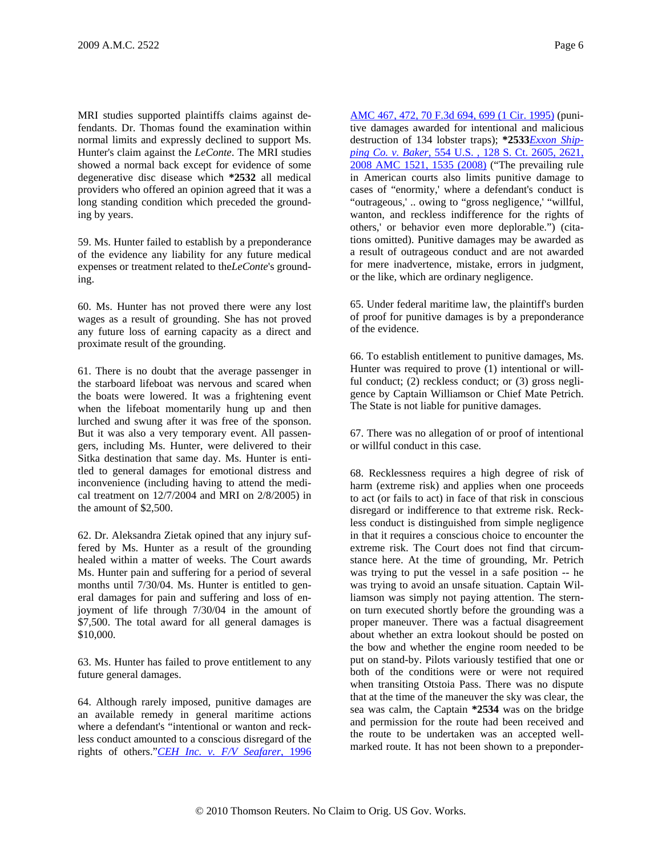MRI studies supported plaintiffs claims against defendants. Dr. Thomas found the examination within normal limits and expressly declined to support Ms. Hunter's claim against the *LeConte*. The MRI studies showed a normal back except for evidence of some degenerative disc disease which **\*2532** all medical providers who offered an opinion agreed that it was a long standing condition which preceded the grounding by years.

59. Ms. Hunter failed to establish by a preponderance of the evidence any liability for any future medical expenses or treatment related to the*LeConte*'s grounding.

60. Ms. Hunter has not proved there were any lost wages as a result of grounding. She has not proved any future loss of earning capacity as a direct and proximate result of the grounding.

61. There is no doubt that the average passenger in the starboard lifeboat was nervous and scared when the boats were lowered. It was a frightening event when the lifeboat momentarily hung up and then lurched and swung after it was free of the sponson. But it was also a very temporary event. All passengers, including Ms. Hunter, were delivered to their Sitka destination that same day. Ms. Hunter is entitled to general damages for emotional distress and inconvenience (including having to attend the medical treatment on 12/7/2004 and MRI on 2/8/2005) in the amount of \$2,500.

62. Dr. Aleksandra Zietak opined that any injury suffered by Ms. Hunter as a result of the grounding healed within a matter of weeks. The Court awards Ms. Hunter pain and suffering for a period of several months until 7/30/04. Ms. Hunter is entitled to general damages for pain and suffering and loss of enjoyment of life through 7/30/04 in the amount of \$7,500. The total award for all general damages is \$10,000.

63. Ms. Hunter has failed to prove entitlement to any future general damages.

64. Although rarely imposed, punitive damages are an available remedy in general maritime actions where a defendant's "intentional or wanton and reckless conduct amounted to a conscious disregard of the rights of others."*CEH Inc. v. F/V Seafarer*, 1996

AMC 467, 472, 70 F.3d 694, 699 (1 Cir. 1995) (punitive damages awarded for intentional and malicious destruction of 134 lobster traps); **\*2533***Exxon Shipping Co. v. Baker*, 554 U.S. , 128 S. Ct. 2605, 2621, 2008 AMC 1521, 1535 (2008) ("The prevailing rule in American courts also limits punitive damage to cases of "enormity,' where a defendant's conduct is "outrageous,' .. owing to "gross negligence,' "willful, wanton, and reckless indifference for the rights of others,' or behavior even more deplorable.") (citations omitted). Punitive damages may be awarded as a result of outrageous conduct and are not awarded for mere inadvertence, mistake, errors in judgment, or the like, which are ordinary negligence.

65. Under federal maritime law, the plaintiff's burden of proof for punitive damages is by a preponderance of the evidence.

66. To establish entitlement to punitive damages, Ms. Hunter was required to prove (1) intentional or willful conduct; (2) reckless conduct; or (3) gross negligence by Captain Williamson or Chief Mate Petrich. The State is not liable for punitive damages.

67. There was no allegation of or proof of intentional or willful conduct in this case.

68. Recklessness requires a high degree of risk of harm (extreme risk) and applies when one proceeds to act (or fails to act) in face of that risk in conscious disregard or indifference to that extreme risk. Reckless conduct is distinguished from simple negligence in that it requires a conscious choice to encounter the extreme risk. The Court does not find that circumstance here. At the time of grounding, Mr. Petrich was trying to put the vessel in a safe position -- he was trying to avoid an unsafe situation. Captain Williamson was simply not paying attention. The sternon turn executed shortly before the grounding was a proper maneuver. There was a factual disagreement about whether an extra lookout should be posted on the bow and whether the engine room needed to be put on stand-by. Pilots variously testified that one or both of the conditions were or were not required when transiting Otstoia Pass. There was no dispute that at the time of the maneuver the sky was clear, the sea was calm, the Captain **\*2534** was on the bridge and permission for the route had been received and the route to be undertaken was an accepted wellmarked route. It has not been shown to a preponder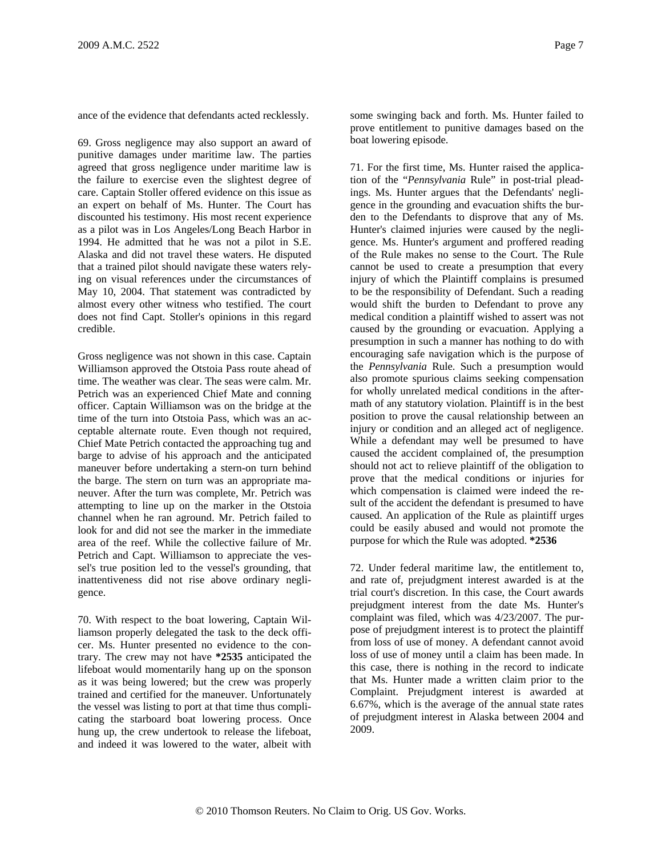ance of the evidence that defendants acted recklessly.

69. Gross negligence may also support an award of punitive damages under maritime law. The parties agreed that gross negligence under maritime law is the failure to exercise even the slightest degree of care. Captain Stoller offered evidence on this issue as an expert on behalf of Ms. Hunter. The Court has discounted his testimony. His most recent experience as a pilot was in Los Angeles/Long Beach Harbor in 1994. He admitted that he was not a pilot in S.E. Alaska and did not travel these waters. He disputed that a trained pilot should navigate these waters relying on visual references under the circumstances of May 10, 2004. That statement was contradicted by almost every other witness who testified. The court does not find Capt. Stoller's opinions in this regard credible.

Gross negligence was not shown in this case. Captain Williamson approved the Otstoia Pass route ahead of time. The weather was clear. The seas were calm. Mr. Petrich was an experienced Chief Mate and conning officer. Captain Williamson was on the bridge at the time of the turn into Otstoia Pass, which was an acceptable alternate route. Even though not required, Chief Mate Petrich contacted the approaching tug and barge to advise of his approach and the anticipated maneuver before undertaking a stern-on turn behind the barge. The stern on turn was an appropriate maneuver. After the turn was complete, Mr. Petrich was attempting to line up on the marker in the Otstoia channel when he ran aground. Mr. Petrich failed to look for and did not see the marker in the immediate area of the reef. While the collective failure of Mr. Petrich and Capt. Williamson to appreciate the vessel's true position led to the vessel's grounding, that inattentiveness did not rise above ordinary negligence.

70. With respect to the boat lowering, Captain Williamson properly delegated the task to the deck officer. Ms. Hunter presented no evidence to the contrary. The crew may not have **\*2535** anticipated the lifeboat would momentarily hang up on the sponson as it was being lowered; but the crew was properly trained and certified for the maneuver. Unfortunately the vessel was listing to port at that time thus complicating the starboard boat lowering process. Once hung up, the crew undertook to release the lifeboat, and indeed it was lowered to the water, albeit with some swinging back and forth. Ms. Hunter failed to prove entitlement to punitive damages based on the boat lowering episode.

71. For the first time, Ms. Hunter raised the application of the "*Pennsylvania* Rule" in post-trial pleadings. Ms. Hunter argues that the Defendants' negligence in the grounding and evacuation shifts the burden to the Defendants to disprove that any of Ms. Hunter's claimed injuries were caused by the negligence. Ms. Hunter's argument and proffered reading of the Rule makes no sense to the Court. The Rule cannot be used to create a presumption that every injury of which the Plaintiff complains is presumed to be the responsibility of Defendant. Such a reading would shift the burden to Defendant to prove any medical condition a plaintiff wished to assert was not caused by the grounding or evacuation. Applying a presumption in such a manner has nothing to do with encouraging safe navigation which is the purpose of the *Pennsylvania* Rule. Such a presumption would also promote spurious claims seeking compensation for wholly unrelated medical conditions in the aftermath of any statutory violation. Plaintiff is in the best position to prove the causal relationship between an injury or condition and an alleged act of negligence. While a defendant may well be presumed to have caused the accident complained of, the presumption should not act to relieve plaintiff of the obligation to prove that the medical conditions or injuries for which compensation is claimed were indeed the result of the accident the defendant is presumed to have caused. An application of the Rule as plaintiff urges could be easily abused and would not promote the purpose for which the Rule was adopted. **\*2536**

72. Under federal maritime law, the entitlement to, and rate of, prejudgment interest awarded is at the trial court's discretion. In this case, the Court awards prejudgment interest from the date Ms. Hunter's complaint was filed, which was 4/23/2007. The purpose of prejudgment interest is to protect the plaintiff from loss of use of money. A defendant cannot avoid loss of use of money until a claim has been made. In this case, there is nothing in the record to indicate that Ms. Hunter made a written claim prior to the Complaint. Prejudgment interest is awarded at 6.67%, which is the average of the annual state rates of prejudgment interest in Alaska between 2004 and 2009.